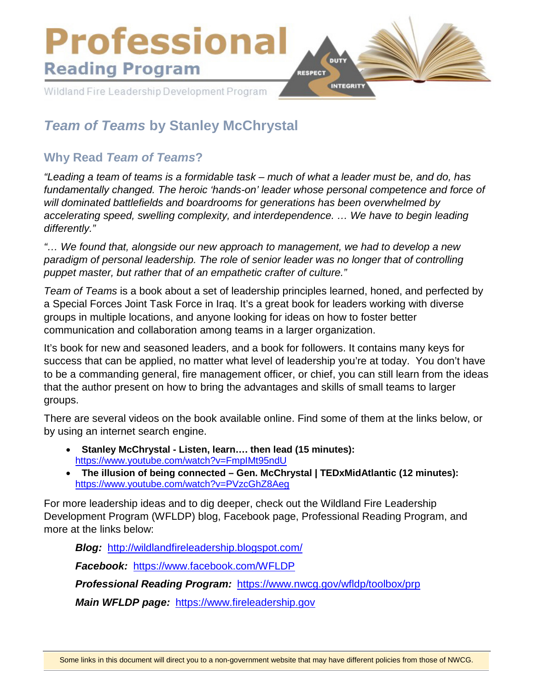

# *Team of Teams* **by Stanley McChrystal**

## **Why Read** *Team of Teams***?**

*"Leading a team of teams is a formidable task – much of what a leader must be, and do, has fundamentally changed. The heroic 'hands-on' leader whose personal competence and force of will dominated battlefields and boardrooms for generations has been overwhelmed by accelerating speed, swelling complexity, and interdependence. … We have to begin leading differently."*

*"… We found that, alongside our new approach to management, we had to develop a new paradigm of personal leadership. The role of senior leader was no longer that of controlling puppet master, but rather that of an empathetic crafter of culture."*

*Team of Teams* is a book about a set of leadership principles learned, honed, and perfected by a Special Forces Joint Task Force in Iraq. It's a great book for leaders working with diverse groups in multiple locations, and anyone looking for ideas on how to foster better communication and collaboration among teams in a larger organization.

It's book for new and seasoned leaders, and a book for followers. It contains many keys for success that can be applied, no matter what level of leadership you're at today. You don't have to be a commanding general, fire management officer, or chief, you can still learn from the ideas that the author present on how to bring the advantages and skills of small teams to larger groups.

There are several videos on the book available online. Find some of them at the links below, or by using an internet search engine.

- **Stanley McChrystal Listen, learn…. then lead (15 minutes):** <https://www.youtube.com/watch?v=FmpIMt95ndU>
- **The illusion of being connected Gen. McChrystal | TEDxMidAtlantic (12 minutes):** <https://www.youtube.com/watch?v=PVzcGhZ8Aeg>

For more leadership ideas and to dig deeper, check out the Wildland Fire Leadership Development Program (WFLDP) blog, Facebook page, Professional Reading Program, and more at the links below:

*Blog:* <http://wildlandfireleadership.blogspot.com/>

*Facebook:* <https://www.facebook.com/WFLDP>

*Professional Reading Program:* <https://www.nwcg.gov/wfldp/toolbox/prp>

*Main WFLDP page:* [https://www.fireleadership.gov](https://www.fireleadership.gov/)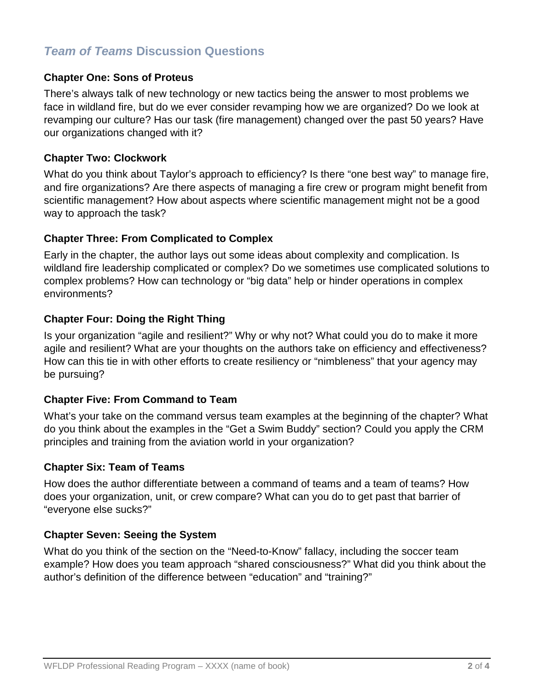## *Team of Teams* **Discussion Questions**

### **Chapter One: Sons of Proteus**

There's always talk of new technology or new tactics being the answer to most problems we face in wildland fire, but do we ever consider revamping how we are organized? Do we look at revamping our culture? Has our task (fire management) changed over the past 50 years? Have our organizations changed with it?

### **Chapter Two: Clockwork**

What do you think about Taylor's approach to efficiency? Is there "one best way" to manage fire, and fire organizations? Are there aspects of managing a fire crew or program might benefit from scientific management? How about aspects where scientific management might not be a good way to approach the task?

### **Chapter Three: From Complicated to Complex**

Early in the chapter, the author lays out some ideas about complexity and complication. Is wildland fire leadership complicated or complex? Do we sometimes use complicated solutions to complex problems? How can technology or "big data" help or hinder operations in complex environments?

## **Chapter Four: Doing the Right Thing**

Is your organization "agile and resilient?" Why or why not? What could you do to make it more agile and resilient? What are your thoughts on the authors take on efficiency and effectiveness? How can this tie in with other efforts to create resiliency or "nimbleness" that your agency may be pursuing?

#### **Chapter Five: From Command to Team**

What's your take on the command versus team examples at the beginning of the chapter? What do you think about the examples in the "Get a Swim Buddy" section? Could you apply the CRM principles and training from the aviation world in your organization?

### **Chapter Six: Team of Teams**

How does the author differentiate between a command of teams and a team of teams? How does your organization, unit, or crew compare? What can you do to get past that barrier of "everyone else sucks?"

#### **Chapter Seven: Seeing the System**

What do you think of the section on the "Need-to-Know" fallacy, including the soccer team example? How does you team approach "shared consciousness?" What did you think about the author's definition of the difference between "education" and "training?"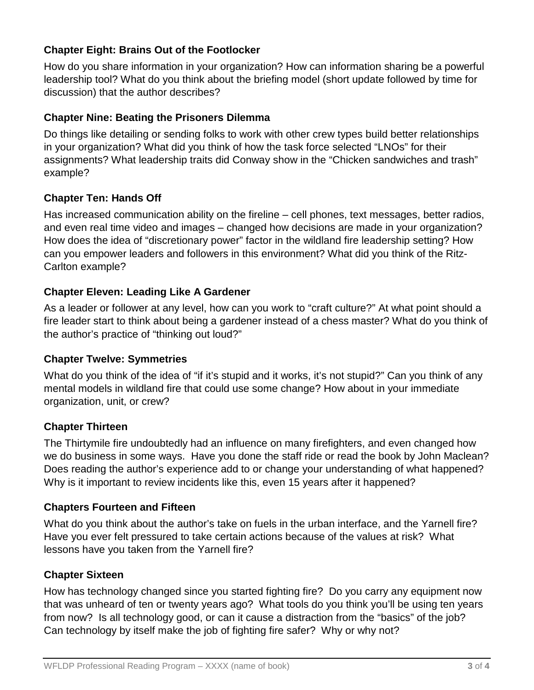## **Chapter Eight: Brains Out of the Footlocker**

How do you share information in your organization? How can information sharing be a powerful leadership tool? What do you think about the briefing model (short update followed by time for discussion) that the author describes?

## **Chapter Nine: Beating the Prisoners Dilemma**

Do things like detailing or sending folks to work with other crew types build better relationships in your organization? What did you think of how the task force selected "LNOs" for their assignments? What leadership traits did Conway show in the "Chicken sandwiches and trash" example?

## **Chapter Ten: Hands Off**

Has increased communication ability on the fireline – cell phones, text messages, better radios, and even real time video and images – changed how decisions are made in your organization? How does the idea of "discretionary power" factor in the wildland fire leadership setting? How can you empower leaders and followers in this environment? What did you think of the Ritz-Carlton example?

## **Chapter Eleven: Leading Like A Gardener**

As a leader or follower at any level, how can you work to "craft culture?" At what point should a fire leader start to think about being a gardener instead of a chess master? What do you think of the author's practice of "thinking out loud?"

## **Chapter Twelve: Symmetries**

What do you think of the idea of "if it's stupid and it works, it's not stupid?" Can you think of any mental models in wildland fire that could use some change? How about in your immediate organization, unit, or crew?

## **Chapter Thirteen**

The Thirtymile fire undoubtedly had an influence on many firefighters, and even changed how we do business in some ways. Have you done the staff ride or read the book by John Maclean? Does reading the author's experience add to or change your understanding of what happened? Why is it important to review incidents like this, even 15 years after it happened?

## **Chapters Fourteen and Fifteen**

What do you think about the author's take on fuels in the urban interface, and the Yarnell fire? Have you ever felt pressured to take certain actions because of the values at risk? What lessons have you taken from the Yarnell fire?

## **Chapter Sixteen**

How has technology changed since you started fighting fire? Do you carry any equipment now that was unheard of ten or twenty years ago? What tools do you think you'll be using ten years from now? Is all technology good, or can it cause a distraction from the "basics" of the job? Can technology by itself make the job of fighting fire safer? Why or why not?